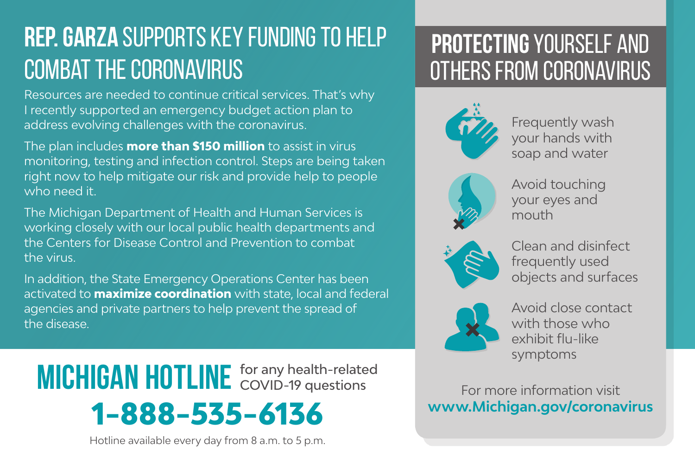## **Rep. Garza** supports key funding to help combat the coronavirus

Resources are needed to continue critical services. That's why I recently supported an emergency budget action plan to address evolving challenges with the coronavirus.

The plan includes **more than \$150 million** to assist in virus monitoring, testing and infection control. Steps are being taken right now to help mitigate our risk and provide help to people who need it.

The Michigan Department of Health and Human Services is working closely with our local public health departments and the Centers for Disease Control and Prevention to combat the virus.

In addition, the State Emergency Operations Center has been activated to **maximize coordination** with state, local and federal agencies and private partners to help prevent the spread of the disease.

**1-888-535-6136 MICHIGAN HOTLINE** for any health-related

Hotline available every day from 8 a.m. to 5 p.m.

## **Protecting** yourself and others from coronavirus



Frequently wash your hands with soap and water



Avoid touching your eyes and mouth



Clean and disinfect frequently used objects and surfaces



Avoid close contact with those who exhibit flu-like symptoms

For more information visit **www.Michigan.gov/coronavirus**